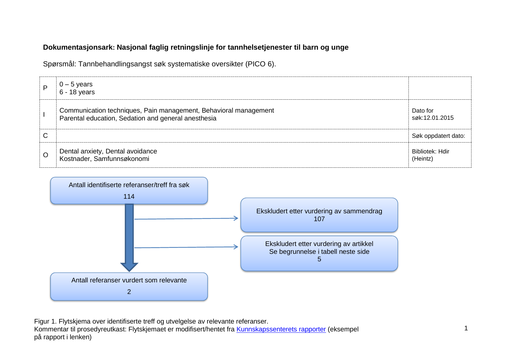## **Dokumentasjonsark: Nasjonal faglig retningslinje for tannhelsetjenester til barn og unge**

Spørsmål: Tannbehandlingsangst søk systematiske oversikter (PICO 6).

| P       | 0 – 5 years<br>  6 - 18 years                                                                                           |                             |
|---------|-------------------------------------------------------------------------------------------------------------------------|-----------------------------|
|         | Communication techniques, Pain management, Behavioral management<br>Parental education, Sedation and general anesthesia | Dato for<br>søk:12.01.2015  |
| C       |                                                                                                                         | Søk oppdatert dato:         |
| $\circ$ | Dental anxiety, Dental avoidance<br>Kostnader, Samfunnsøkonomi                                                          | Bibliotek: Hdir<br>(Heintz) |



Figur 1. Flytskjema over identifiserte treff og utvelgelse av relevante referanser. Kommentar til prosedyreutkast: Flytskjemaet er modifisert/hentet fra [Kunnskapssenterets rapporter](http://www.kunnskapssenteret.no/Publikasjoner/Depresjonsscreening+av+gravide+og+barselkvinner.17323.cms) (eksempel på rapport i lenken)